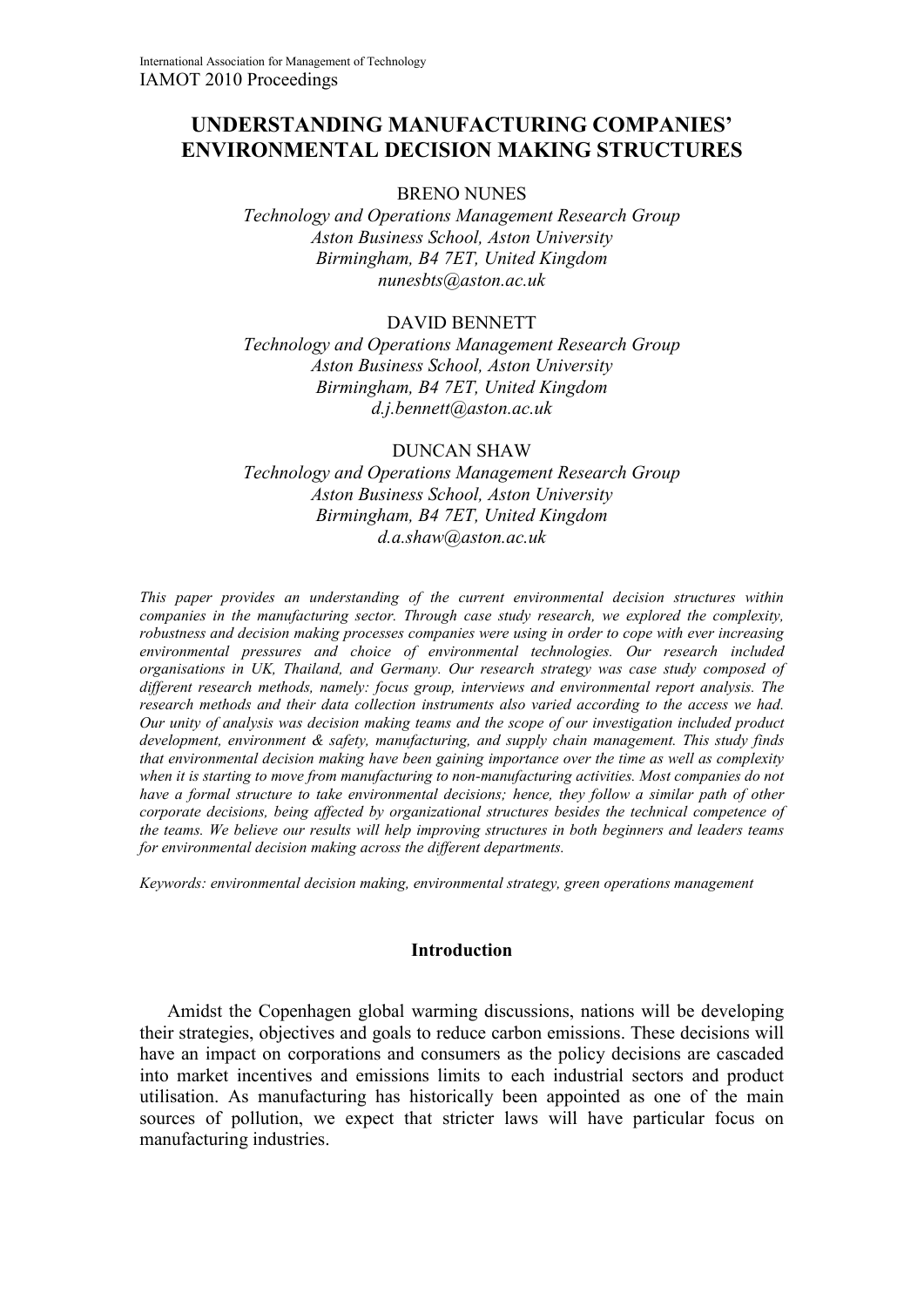# **UNDERSTANDING MANUFACTURING COMPANIES' ENVIRONMENTAL DECISION MAKING STRUCTURES**

# BRENO NUNES

*Technology and Operations Management Research Group Aston Business School, Aston University Birmingham, B4 7ET, United Kingdom nunesbts@aston.ac.uk* 

### DAVID BENNETT

*Technology and Operations Management Research Group Aston Business School, Aston University Birmingham, B4 7ET, United Kingdom d.j.bennett@aston.ac.uk* 

# DUNCAN SHAW

*Technology and Operations Management Research Group Aston Business School, Aston University Birmingham, B4 7ET, United Kingdom d.a.shaw@aston.ac.uk* 

*This paper provides an understanding of the current environmental decision structures within companies in the manufacturing sector. Through case study research, we explored the complexity, robustness and decision making processes companies were using in order to cope with ever increasing environmental pressures and choice of environmental technologies. Our research included organisations in UK, Thailand, and Germany. Our research strategy was case study composed of different research methods, namely: focus group, interviews and environmental report analysis. The research methods and their data collection instruments also varied according to the access we had. Our unity of analysis was decision making teams and the scope of our investigation included product development, environment & safety, manufacturing, and supply chain management. This study finds that environmental decision making have been gaining importance over the time as well as complexity when it is starting to move from manufacturing to non-manufacturing activities. Most companies do not have a formal structure to take environmental decisions; hence, they follow a similar path of other corporate decisions, being affected by organizational structures besides the technical competence of the teams. We believe our results will help improving structures in both beginners and leaders teams for environmental decision making across the different departments.* 

*Keywords: environmental decision making, environmental strategy, green operations management* 

# **Introduction**

Amidst the Copenhagen global warming discussions, nations will be developing their strategies, objectives and goals to reduce carbon emissions. These decisions will have an impact on corporations and consumers as the policy decisions are cascaded into market incentives and emissions limits to each industrial sectors and product utilisation. As manufacturing has historically been appointed as one of the main sources of pollution, we expect that stricter laws will have particular focus on manufacturing industries.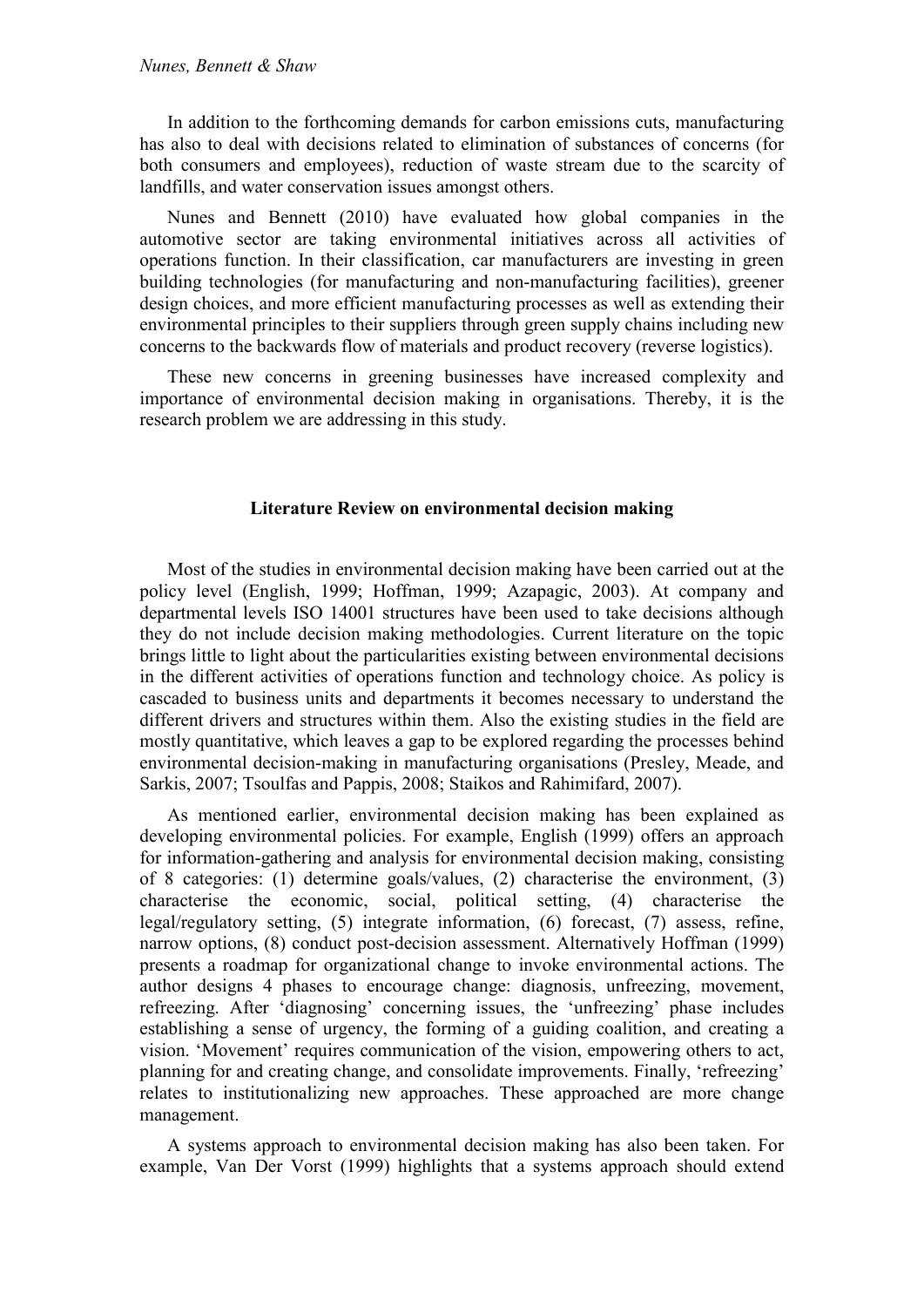In addition to the forthcoming demands for carbon emissions cuts, manufacturing has also to deal with decisions related to elimination of substances of concerns (for both consumers and employees), reduction of waste stream due to the scarcity of landfills, and water conservation issues amongst others.

Nunes and Bennett (2010) have evaluated how global companies in the automotive sector are taking environmental initiatives across all activities of operations function. In their classification, car manufacturers are investing in green building technologies (for manufacturing and non-manufacturing facilities), greener design choices, and more efficient manufacturing processes as well as extending their environmental principles to their suppliers through green supply chains including new concerns to the backwards flow of materials and product recovery (reverse logistics).

These new concerns in greening businesses have increased complexity and importance of environmental decision making in organisations. Thereby, it is the research problem we are addressing in this study.

# **Literature Review on environmental decision making**

Most of the studies in environmental decision making have been carried out at the policy level (English, 1999; Hoffman, 1999; Azapagic, 2003). At company and departmental levels ISO 14001 structures have been used to take decisions although they do not include decision making methodologies. Current literature on the topic brings little to light about the particularities existing between environmental decisions in the different activities of operations function and technology choice. As policy is cascaded to business units and departments it becomes necessary to understand the different drivers and structures within them. Also the existing studies in the field are mostly quantitative, which leaves a gap to be explored regarding the processes behind environmental decision-making in manufacturing organisations (Presley, Meade, and Sarkis, 2007; Tsoulfas and Pappis, 2008; Staikos and Rahimifard, 2007).

As mentioned earlier, environmental decision making has been explained as developing environmental policies. For example, English (1999) offers an approach for information-gathering and analysis for environmental decision making, consisting of 8 categories: (1) determine goals/values, (2) characterise the environment, (3) characterise the economic, social, political setting, (4) characterise the legal/regulatory setting, (5) integrate information, (6) forecast, (7) assess, refine, narrow options, (8) conduct post-decision assessment. Alternatively Hoffman (1999) presents a roadmap for organizational change to invoke environmental actions. The author designs 4 phases to encourage change: diagnosis, unfreezing, movement, refreezing. After 'diagnosing' concerning issues, the 'unfreezing' phase includes establishing a sense of urgency, the forming of a guiding coalition, and creating a vision. 'Movement' requires communication of the vision, empowering others to act, planning for and creating change, and consolidate improvements. Finally, 'refreezing' relates to institutionalizing new approaches. These approached are more change management.

A systems approach to environmental decision making has also been taken. For example, Van Der Vorst (1999) highlights that a systems approach should extend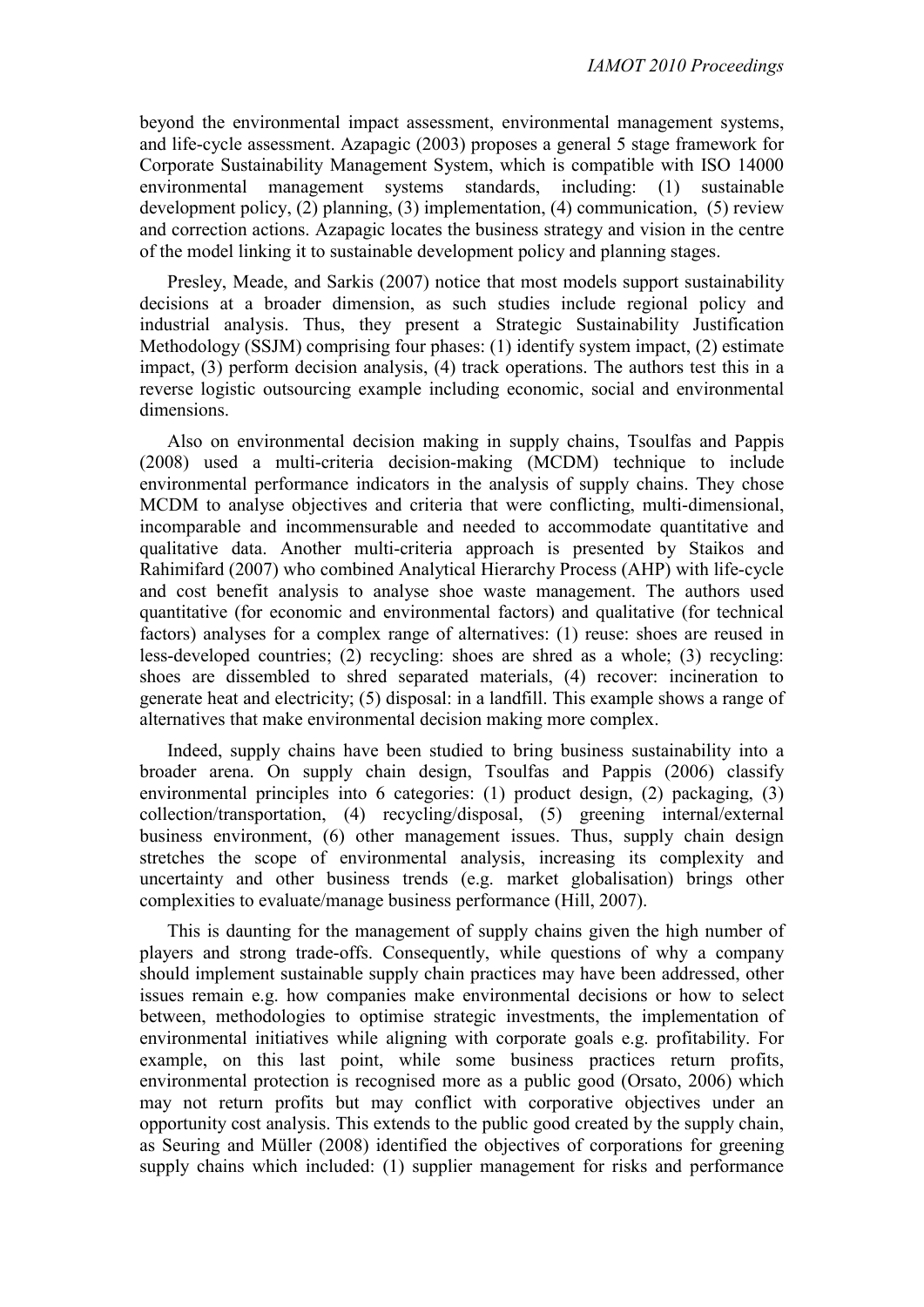beyond the environmental impact assessment, environmental management systems, and life-cycle assessment. Azapagic (2003) proposes a general 5 stage framework for Corporate Sustainability Management System, which is compatible with ISO 14000 environmental management systems standards, including: (1) sustainable development policy, (2) planning, (3) implementation, (4) communication, (5) review and correction actions. Azapagic locates the business strategy and vision in the centre of the model linking it to sustainable development policy and planning stages.

Presley, Meade, and Sarkis (2007) notice that most models support sustainability decisions at a broader dimension, as such studies include regional policy and industrial analysis. Thus, they present a Strategic Sustainability Justification Methodology (SSJM) comprising four phases: (1) identify system impact, (2) estimate impact, (3) perform decision analysis, (4) track operations. The authors test this in a reverse logistic outsourcing example including economic, social and environmental dimensions.

Also on environmental decision making in supply chains, Tsoulfas and Pappis (2008) used a multi-criteria decision-making (MCDM) technique to include environmental performance indicators in the analysis of supply chains. They chose MCDM to analyse objectives and criteria that were conflicting, multi-dimensional, incomparable and incommensurable and needed to accommodate quantitative and qualitative data. Another multi-criteria approach is presented by Staikos and Rahimifard (2007) who combined Analytical Hierarchy Process (AHP) with life-cycle and cost benefit analysis to analyse shoe waste management. The authors used quantitative (for economic and environmental factors) and qualitative (for technical factors) analyses for a complex range of alternatives: (1) reuse: shoes are reused in less-developed countries; (2) recycling: shoes are shred as a whole; (3) recycling: shoes are dissembled to shred separated materials, (4) recover: incineration to generate heat and electricity; (5) disposal: in a landfill. This example shows a range of alternatives that make environmental decision making more complex.

Indeed, supply chains have been studied to bring business sustainability into a broader arena. On supply chain design, Tsoulfas and Pappis (2006) classify environmental principles into 6 categories: (1) product design, (2) packaging, (3) collection/transportation, (4) recycling/disposal, (5) greening internal/external business environment, (6) other management issues. Thus, supply chain design stretches the scope of environmental analysis, increasing its complexity and uncertainty and other business trends (e.g. market globalisation) brings other complexities to evaluate/manage business performance (Hill, 2007).

This is daunting for the management of supply chains given the high number of players and strong trade-offs. Consequently, while questions of why a company should implement sustainable supply chain practices may have been addressed, other issues remain e.g. how companies make environmental decisions or how to select between, methodologies to optimise strategic investments, the implementation of environmental initiatives while aligning with corporate goals e.g. profitability. For example, on this last point, while some business practices return profits, environmental protection is recognised more as a public good (Orsato, 2006) which may not return profits but may conflict with corporative objectives under an opportunity cost analysis. This extends to the public good created by the supply chain, as Seuring and Müller (2008) identified the objectives of corporations for greening supply chains which included: (1) supplier management for risks and performance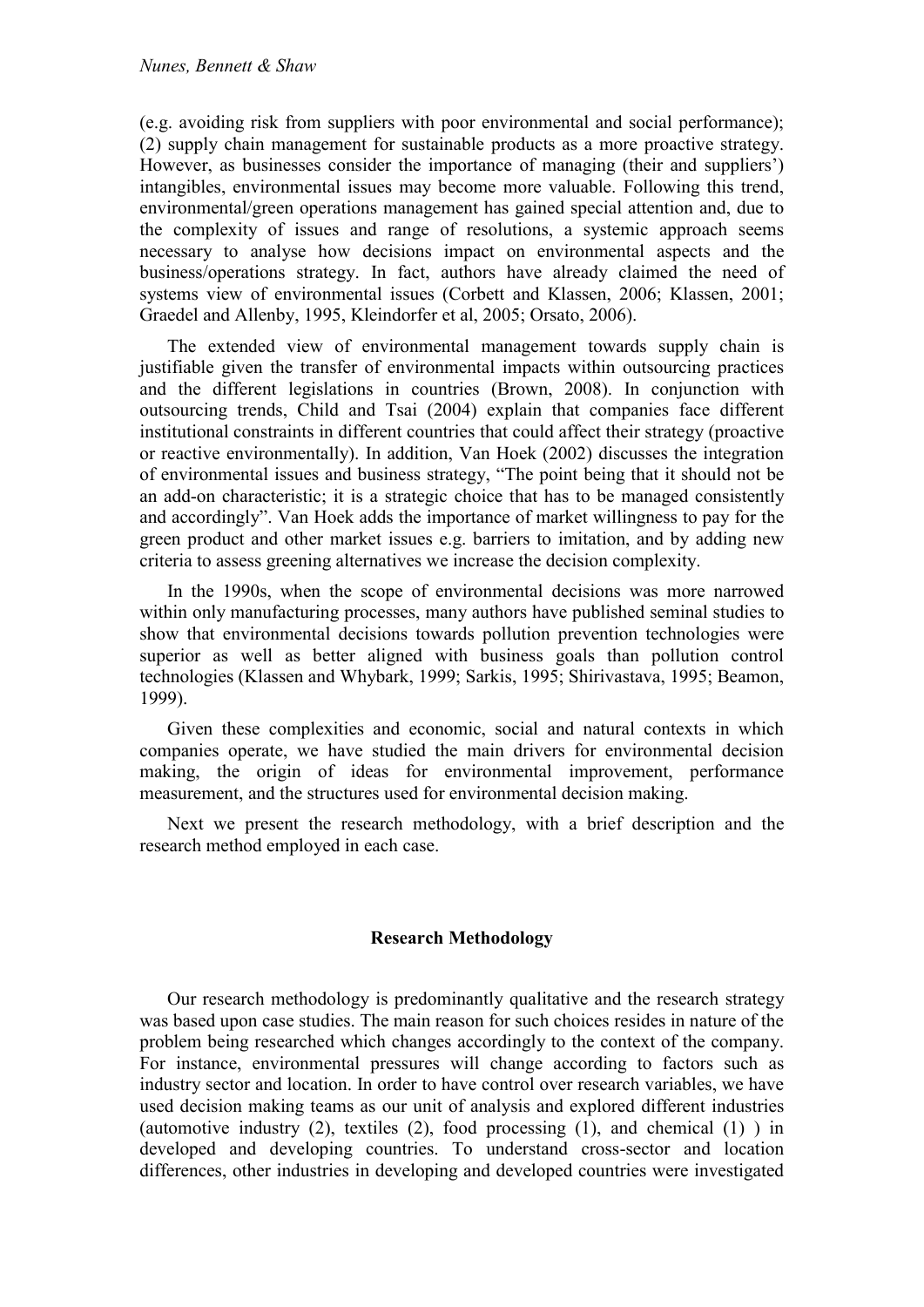(e.g. avoiding risk from suppliers with poor environmental and social performance); (2) supply chain management for sustainable products as a more proactive strategy. However, as businesses consider the importance of managing (their and suppliers') intangibles, environmental issues may become more valuable. Following this trend, environmental/green operations management has gained special attention and, due to the complexity of issues and range of resolutions, a systemic approach seems necessary to analyse how decisions impact on environmental aspects and the business/operations strategy. In fact, authors have already claimed the need of systems view of environmental issues (Corbett and Klassen, 2006; Klassen, 2001; Graedel and Allenby, 1995, Kleindorfer et al, 2005; Orsato, 2006).

The extended view of environmental management towards supply chain is justifiable given the transfer of environmental impacts within outsourcing practices and the different legislations in countries (Brown, 2008). In conjunction with outsourcing trends, Child and Tsai (2004) explain that companies face different institutional constraints in different countries that could affect their strategy (proactive or reactive environmentally). In addition, Van Hoek (2002) discusses the integration of environmental issues and business strategy, "The point being that it should not be an add-on characteristic; it is a strategic choice that has to be managed consistently and accordingly". Van Hoek adds the importance of market willingness to pay for the green product and other market issues e.g. barriers to imitation, and by adding new criteria to assess greening alternatives we increase the decision complexity.

In the 1990s, when the scope of environmental decisions was more narrowed within only manufacturing processes, many authors have published seminal studies to show that environmental decisions towards pollution prevention technologies were superior as well as better aligned with business goals than pollution control technologies (Klassen and Whybark, 1999; Sarkis, 1995; Shirivastava, 1995; Beamon, 1999).

Given these complexities and economic, social and natural contexts in which companies operate, we have studied the main drivers for environmental decision making, the origin of ideas for environmental improvement, performance measurement, and the structures used for environmental decision making.

Next we present the research methodology, with a brief description and the research method employed in each case.

# **Research Methodology**

Our research methodology is predominantly qualitative and the research strategy was based upon case studies. The main reason for such choices resides in nature of the problem being researched which changes accordingly to the context of the company. For instance, environmental pressures will change according to factors such as industry sector and location. In order to have control over research variables, we have used decision making teams as our unit of analysis and explored different industries (automotive industry  $(2)$ , textiles  $(2)$ , food processing  $(1)$ , and chemical  $(1)$ ) in developed and developing countries. To understand cross-sector and location differences, other industries in developing and developed countries were investigated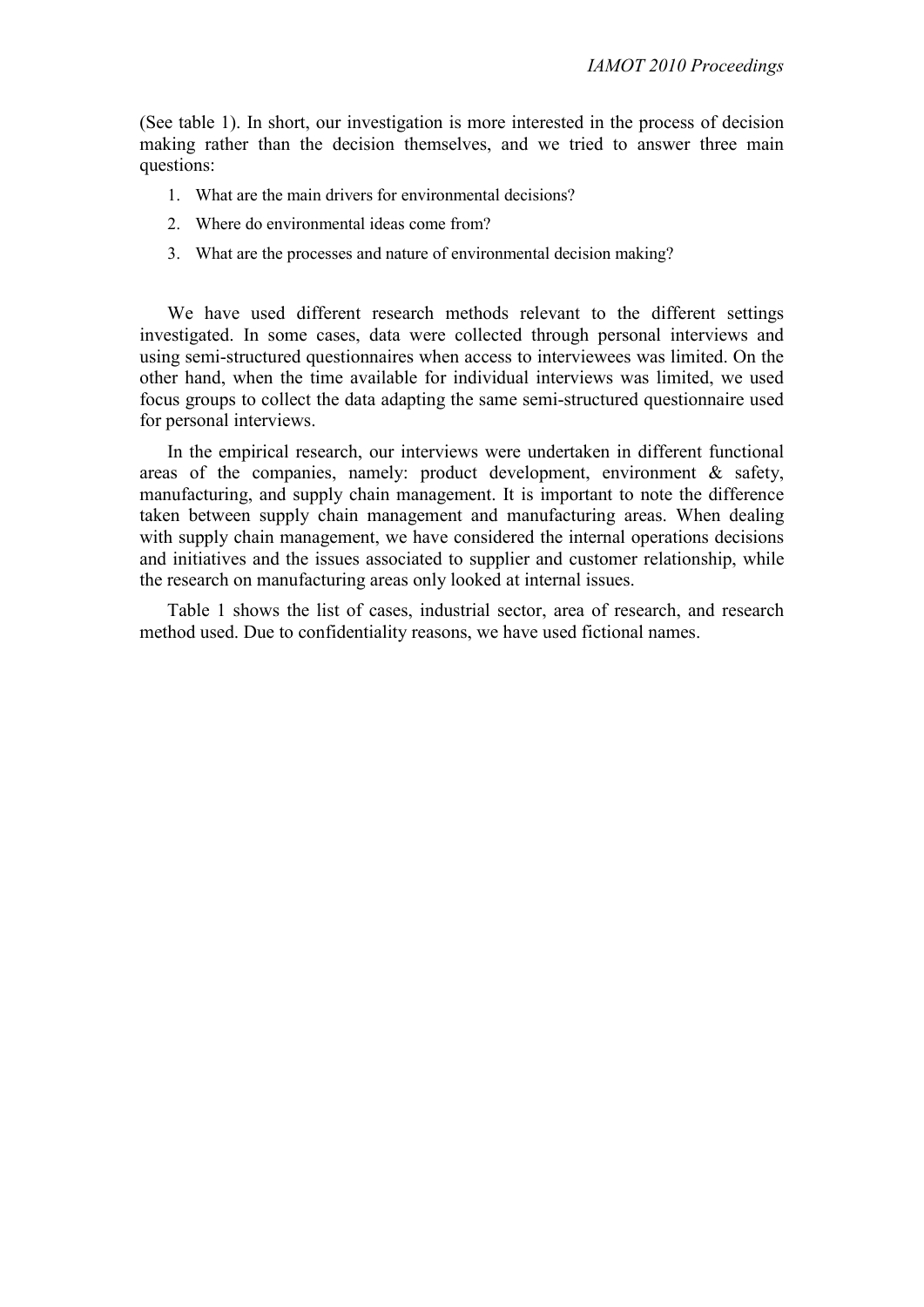(See table 1). In short, our investigation is more interested in the process of decision making rather than the decision themselves, and we tried to answer three main questions:

- 1. What are the main drivers for environmental decisions?
- 2. Where do environmental ideas come from?
- 3. What are the processes and nature of environmental decision making?

We have used different research methods relevant to the different settings investigated. In some cases, data were collected through personal interviews and using semi-structured questionnaires when access to interviewees was limited. On the other hand, when the time available for individual interviews was limited, we used focus groups to collect the data adapting the same semi-structured questionnaire used for personal interviews.

In the empirical research, our interviews were undertaken in different functional areas of the companies, namely: product development, environment & safety, manufacturing, and supply chain management. It is important to note the difference taken between supply chain management and manufacturing areas. When dealing with supply chain management, we have considered the internal operations decisions and initiatives and the issues associated to supplier and customer relationship, while the research on manufacturing areas only looked at internal issues.

Table 1 shows the list of cases, industrial sector, area of research, and research method used. Due to confidentiality reasons, we have used fictional names.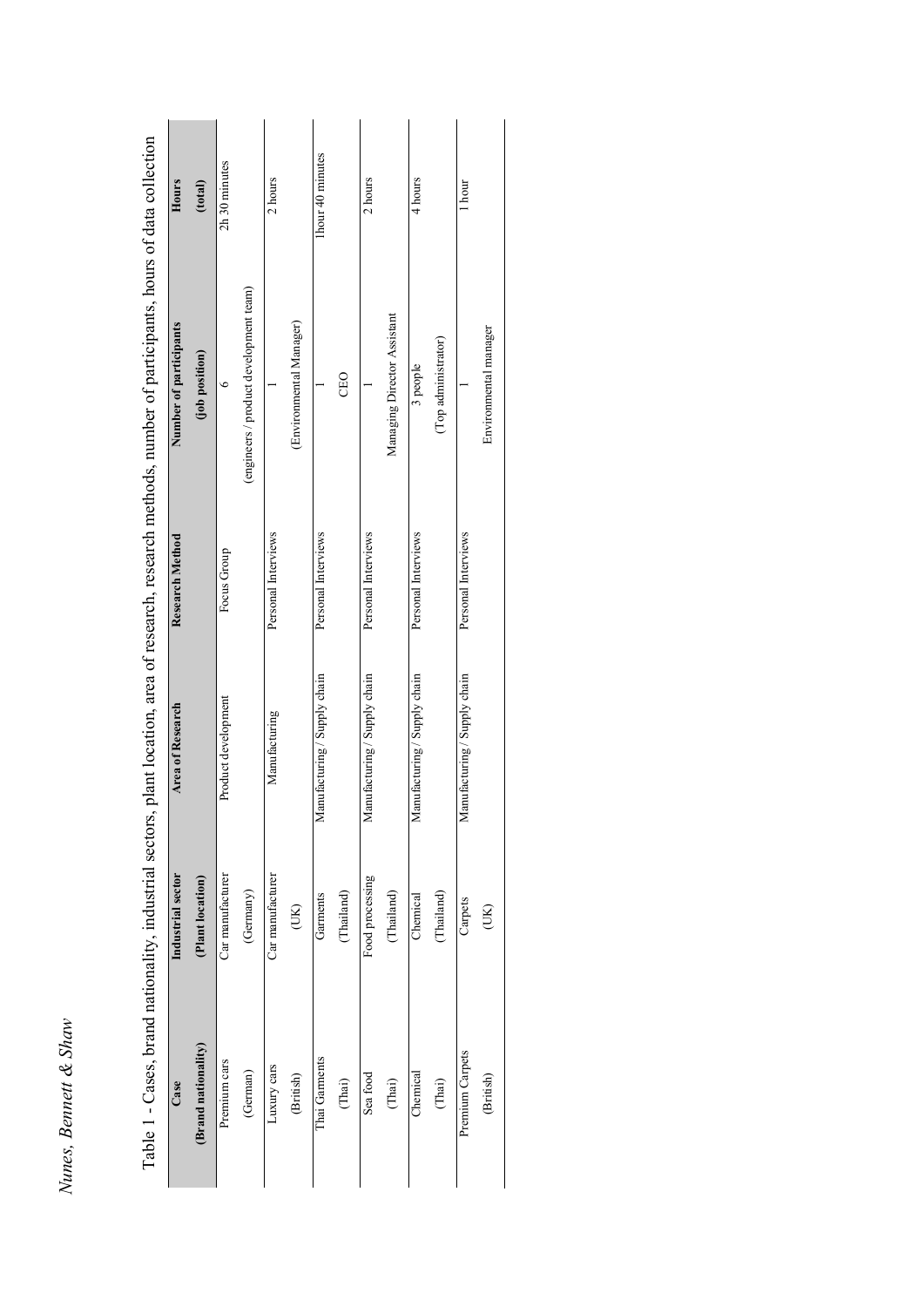| ì<br>č                      |
|-----------------------------|
| ₩                           |
| ÷<br>í<br>ć<br>z<br>uo<br>۵ |
| č                           |

| Industrial sector | <b>Area of Research</b>      | <b>Research Method</b> | Number of participants                 | Hours            |
|-------------------|------------------------------|------------------------|----------------------------------------|------------------|
| (Plant location)  |                              |                        | (job position)                         | (total)          |
| Car manufacturer  | Product development          | Focus Group            | $\bullet$                              | 2h 30 minutes    |
| (Germany)         |                              |                        | (engineers / product development team) |                  |
| Car manufacturer  | Manufacturing                | Personal Interviews    |                                        | 2 hours          |
| (XI)              |                              |                        | (Environmental Manager)                |                  |
| Garments          | Manufacturing / Supply chain | Personal Interviews    |                                        | 1hour 40 minutes |
| (Thailand)        |                              |                        | <b>CEO</b>                             |                  |
| Food processing   | Manufacturing / Supply chain | Personal Interviews    |                                        | 2 hours          |
| (Thailand)        |                              |                        | Managing Director Assistant            |                  |
| Chemical          | Manufacturing / Supply chain | Personal Interviews    | 3 people                               | 4 hours          |
| (Thailand)        |                              |                        | (Top administrator)                    |                  |
| Carpets           | Manufacturing / Supply chain | Personal Interviews    |                                        | l hour           |
| (JK)              |                              |                        | Environmental manager                  |                  |

Table 1 - Cases, brand nationality, industrial sectors, plant location, area of research, research methods, number of participants, hours of data collection Table 1 - Cases, brand nationality, industrial sectors, plant location, area of research, research methods, number of participants, hours of data collection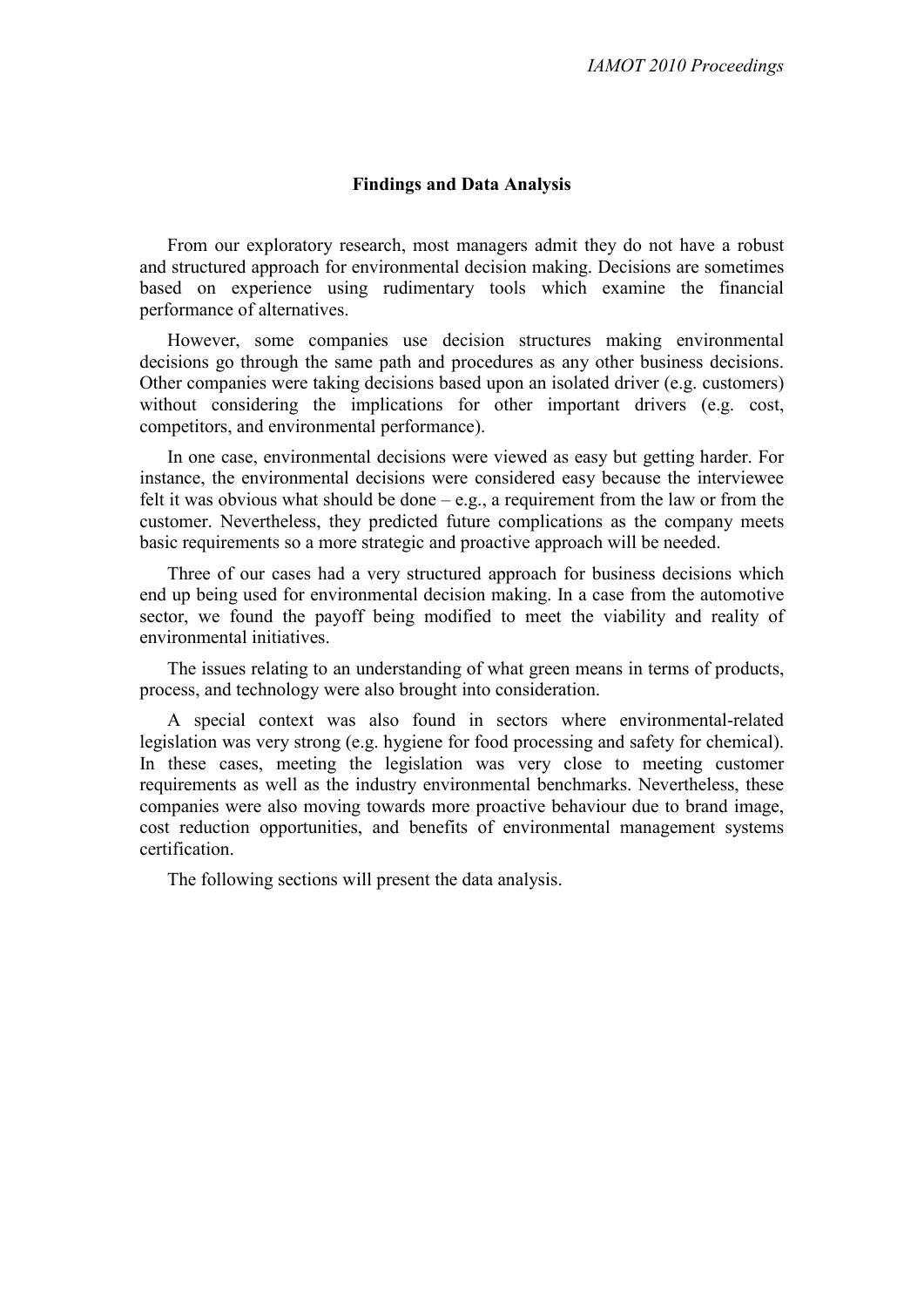# **Findings and Data Analysis**

From our exploratory research, most managers admit they do not have a robust and structured approach for environmental decision making. Decisions are sometimes based on experience using rudimentary tools which examine the financial performance of alternatives.

However, some companies use decision structures making environmental decisions go through the same path and procedures as any other business decisions. Other companies were taking decisions based upon an isolated driver (e.g. customers) without considering the implications for other important drivers (e.g. cost, competitors, and environmental performance).

In one case, environmental decisions were viewed as easy but getting harder. For instance, the environmental decisions were considered easy because the interviewee felt it was obvious what should be done  $-e.g.,$  a requirement from the law or from the customer. Nevertheless, they predicted future complications as the company meets basic requirements so a more strategic and proactive approach will be needed.

Three of our cases had a very structured approach for business decisions which end up being used for environmental decision making. In a case from the automotive sector, we found the payoff being modified to meet the viability and reality of environmental initiatives.

The issues relating to an understanding of what green means in terms of products, process, and technology were also brought into consideration.

A special context was also found in sectors where environmental-related legislation was very strong (e.g. hygiene for food processing and safety for chemical). In these cases, meeting the legislation was very close to meeting customer requirements as well as the industry environmental benchmarks. Nevertheless, these companies were also moving towards more proactive behaviour due to brand image, cost reduction opportunities, and benefits of environmental management systems certification.

The following sections will present the data analysis.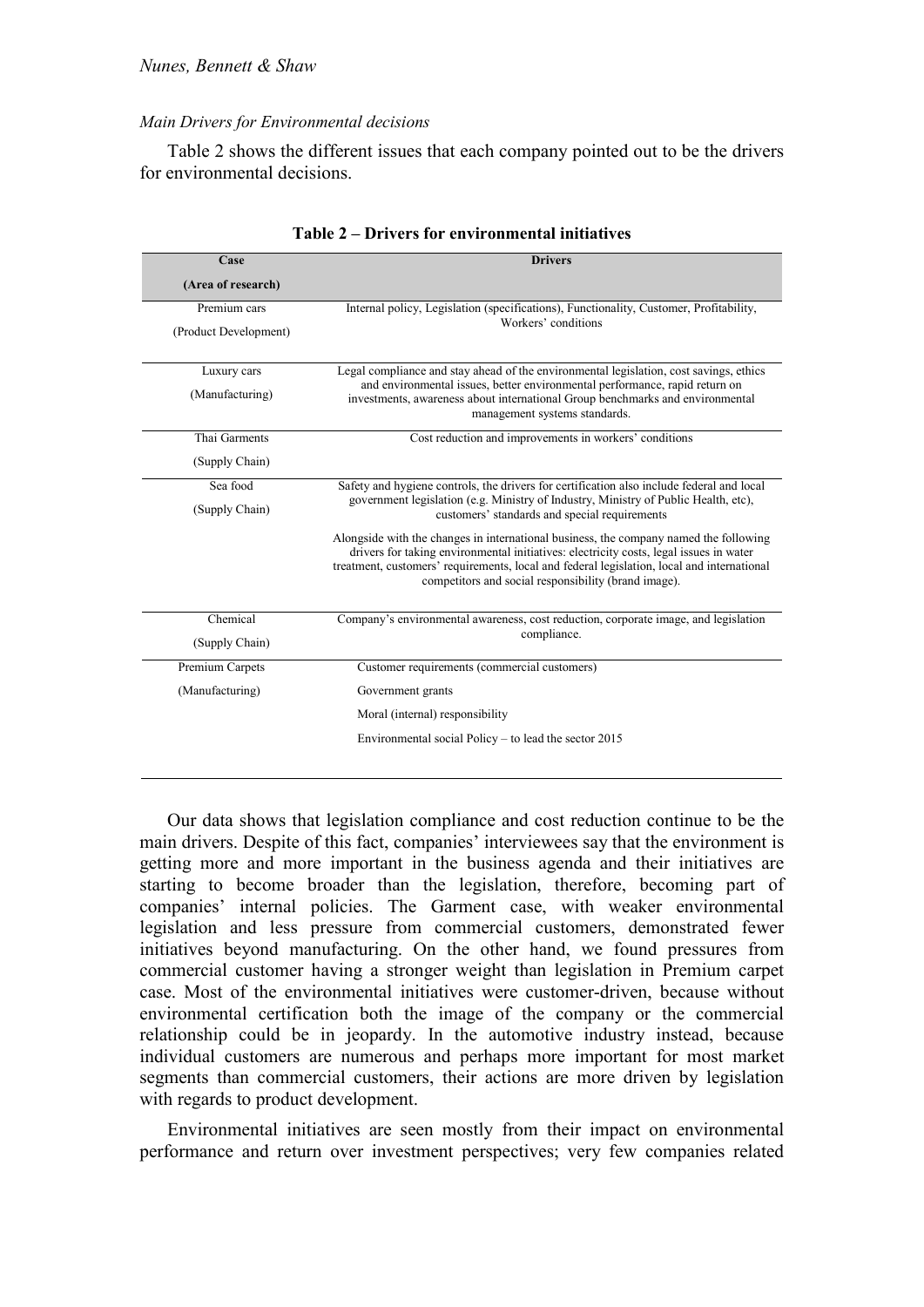### *Main Drivers for Environmental decisions*

Table 2 shows the different issues that each company pointed out to be the drivers for environmental decisions.

| Case                  | <b>Drivers</b>                                                                                                                                                                                                                                                                                                                        |
|-----------------------|---------------------------------------------------------------------------------------------------------------------------------------------------------------------------------------------------------------------------------------------------------------------------------------------------------------------------------------|
| (Area of research)    |                                                                                                                                                                                                                                                                                                                                       |
|                       |                                                                                                                                                                                                                                                                                                                                       |
| Premium cars          | Internal policy, Legislation (specifications), Functionality, Customer, Profitability,<br>Workers' conditions                                                                                                                                                                                                                         |
| (Product Development) |                                                                                                                                                                                                                                                                                                                                       |
|                       |                                                                                                                                                                                                                                                                                                                                       |
| Luxury cars           | Legal compliance and stay ahead of the environmental legislation, cost savings, ethics<br>and environmental issues, better environmental performance, rapid return on                                                                                                                                                                 |
| (Manufacturing)       | investments, awareness about international Group benchmarks and environmental<br>management systems standards.                                                                                                                                                                                                                        |
| Thai Garments         | Cost reduction and improvements in workers' conditions                                                                                                                                                                                                                                                                                |
| (Supply Chain)        |                                                                                                                                                                                                                                                                                                                                       |
| Sea food              | Safety and hygiene controls, the drivers for certification also include federal and local                                                                                                                                                                                                                                             |
| (Supply Chain)        | government legislation (e.g. Ministry of Industry, Ministry of Public Health, etc),<br>customers' standards and special requirements                                                                                                                                                                                                  |
|                       | Alongside with the changes in international business, the company named the following<br>drivers for taking environmental initiatives: electricity costs, legal issues in water<br>treatment, customers' requirements, local and federal legislation, local and international<br>competitors and social responsibility (brand image). |
| Chemical              | Company's environmental awareness, cost reduction, corporate image, and legislation                                                                                                                                                                                                                                                   |
| (Supply Chain)        | compliance.                                                                                                                                                                                                                                                                                                                           |
| Premium Carpets       | Customer requirements (commercial customers)                                                                                                                                                                                                                                                                                          |
| (Manufacturing)       | Government grants                                                                                                                                                                                                                                                                                                                     |
|                       | Moral (internal) responsibility                                                                                                                                                                                                                                                                                                       |
|                       | Environmental social Policy $-$ to lead the sector 2015                                                                                                                                                                                                                                                                               |
|                       |                                                                                                                                                                                                                                                                                                                                       |

| Table 2 – Drivers for environmental initiatives |  |  |  |
|-------------------------------------------------|--|--|--|
|-------------------------------------------------|--|--|--|

Our data shows that legislation compliance and cost reduction continue to be the main drivers. Despite of this fact, companies' interviewees say that the environment is getting more and more important in the business agenda and their initiatives are starting to become broader than the legislation, therefore, becoming part of companies' internal policies. The Garment case, with weaker environmental legislation and less pressure from commercial customers, demonstrated fewer initiatives beyond manufacturing. On the other hand, we found pressures from commercial customer having a stronger weight than legislation in Premium carpet case. Most of the environmental initiatives were customer-driven, because without environmental certification both the image of the company or the commercial relationship could be in jeopardy. In the automotive industry instead, because individual customers are numerous and perhaps more important for most market segments than commercial customers, their actions are more driven by legislation with regards to product development.

Environmental initiatives are seen mostly from their impact on environmental performance and return over investment perspectives; very few companies related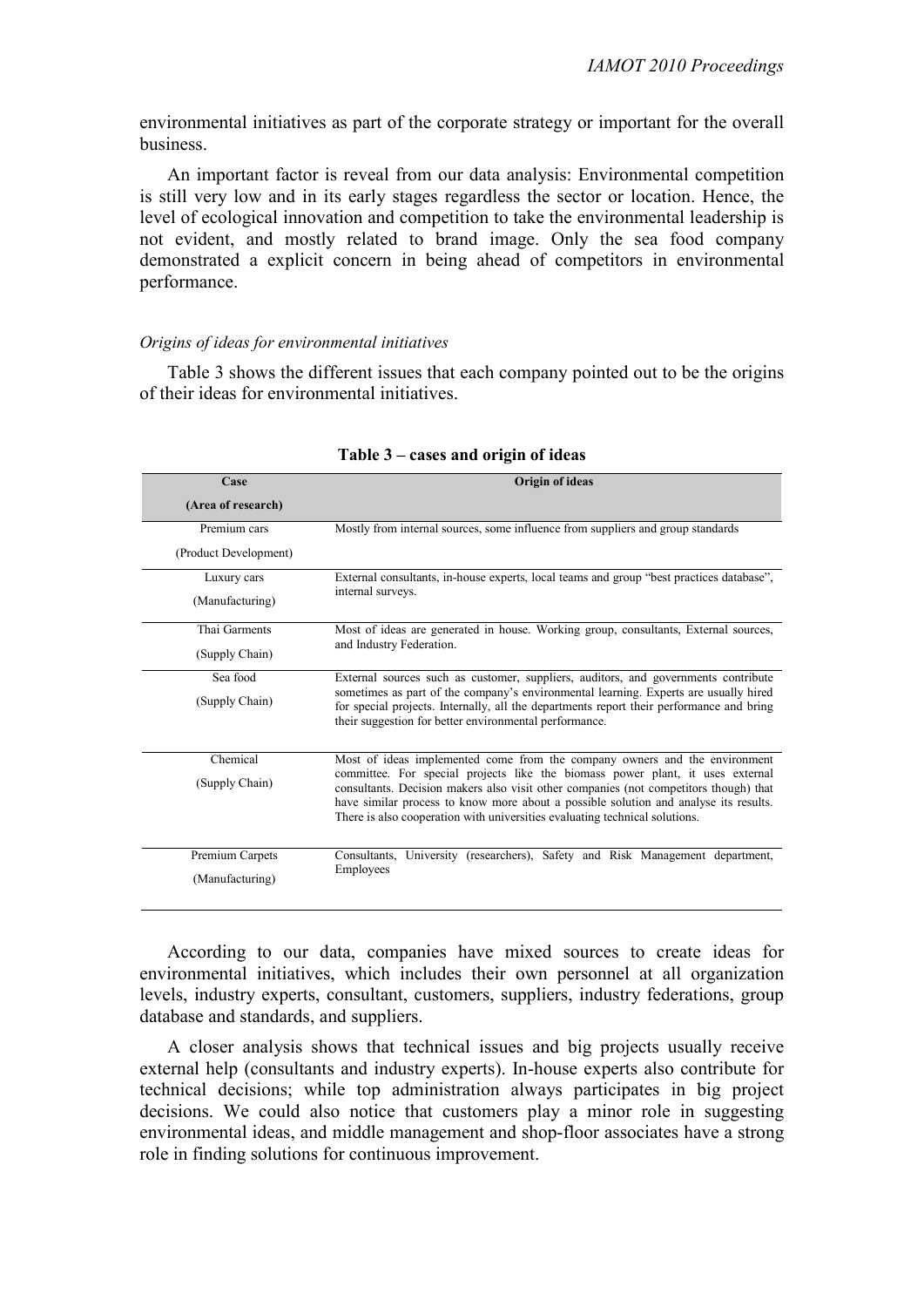environmental initiatives as part of the corporate strategy or important for the overall business.

An important factor is reveal from our data analysis: Environmental competition is still very low and in its early stages regardless the sector or location. Hence, the level of ecological innovation and competition to take the environmental leadership is not evident, and mostly related to brand image. Only the sea food company demonstrated a explicit concern in being ahead of competitors in environmental performance.

#### *Origins of ideas for environmental initiatives*

Table 3 shows the different issues that each company pointed out to be the origins of their ideas for environmental initiatives.

| Case                  | Origin of ideas                                                                                                                                                                                                                                                                                                                                |
|-----------------------|------------------------------------------------------------------------------------------------------------------------------------------------------------------------------------------------------------------------------------------------------------------------------------------------------------------------------------------------|
| (Area of research)    |                                                                                                                                                                                                                                                                                                                                                |
| Premium cars          | Mostly from internal sources, some influence from suppliers and group standards                                                                                                                                                                                                                                                                |
| (Product Development) |                                                                                                                                                                                                                                                                                                                                                |
| Luxury cars           | External consultants, in-house experts, local teams and group "best practices database",                                                                                                                                                                                                                                                       |
| (Manufacturing)       | internal surveys.                                                                                                                                                                                                                                                                                                                              |
| Thai Garments         | Most of ideas are generated in house. Working group, consultants, External sources,                                                                                                                                                                                                                                                            |
| (Supply Chain)        | and Industry Federation.                                                                                                                                                                                                                                                                                                                       |
| Sea food              | External sources such as customer, suppliers, auditors, and governments contribute                                                                                                                                                                                                                                                             |
| (Supply Chain)        | sometimes as part of the company's environmental learning. Experts are usually hired<br>for special projects. Internally, all the departments report their performance and bring<br>their suggestion for better environmental performance.                                                                                                     |
| Chemical              | Most of ideas implemented come from the company owners and the environment                                                                                                                                                                                                                                                                     |
| (Supply Chain)        | committee. For special projects like the biomass power plant, it uses external<br>consultants. Decision makers also visit other companies (not competitors though) that<br>have similar process to know more about a possible solution and analyse its results.<br>There is also cooperation with universities evaluating technical solutions. |
| Premium Carpets       | Consultants, University (researchers), Safety and Risk Management department,                                                                                                                                                                                                                                                                  |
|                       | Employees                                                                                                                                                                                                                                                                                                                                      |
| (Manufacturing)       |                                                                                                                                                                                                                                                                                                                                                |

#### **Table 3 – cases and origin of ideas**

According to our data, companies have mixed sources to create ideas for environmental initiatives, which includes their own personnel at all organization levels, industry experts, consultant, customers, suppliers, industry federations, group database and standards, and suppliers.

A closer analysis shows that technical issues and big projects usually receive external help (consultants and industry experts). In-house experts also contribute for technical decisions; while top administration always participates in big project decisions. We could also notice that customers play a minor role in suggesting environmental ideas, and middle management and shop-floor associates have a strong role in finding solutions for continuous improvement.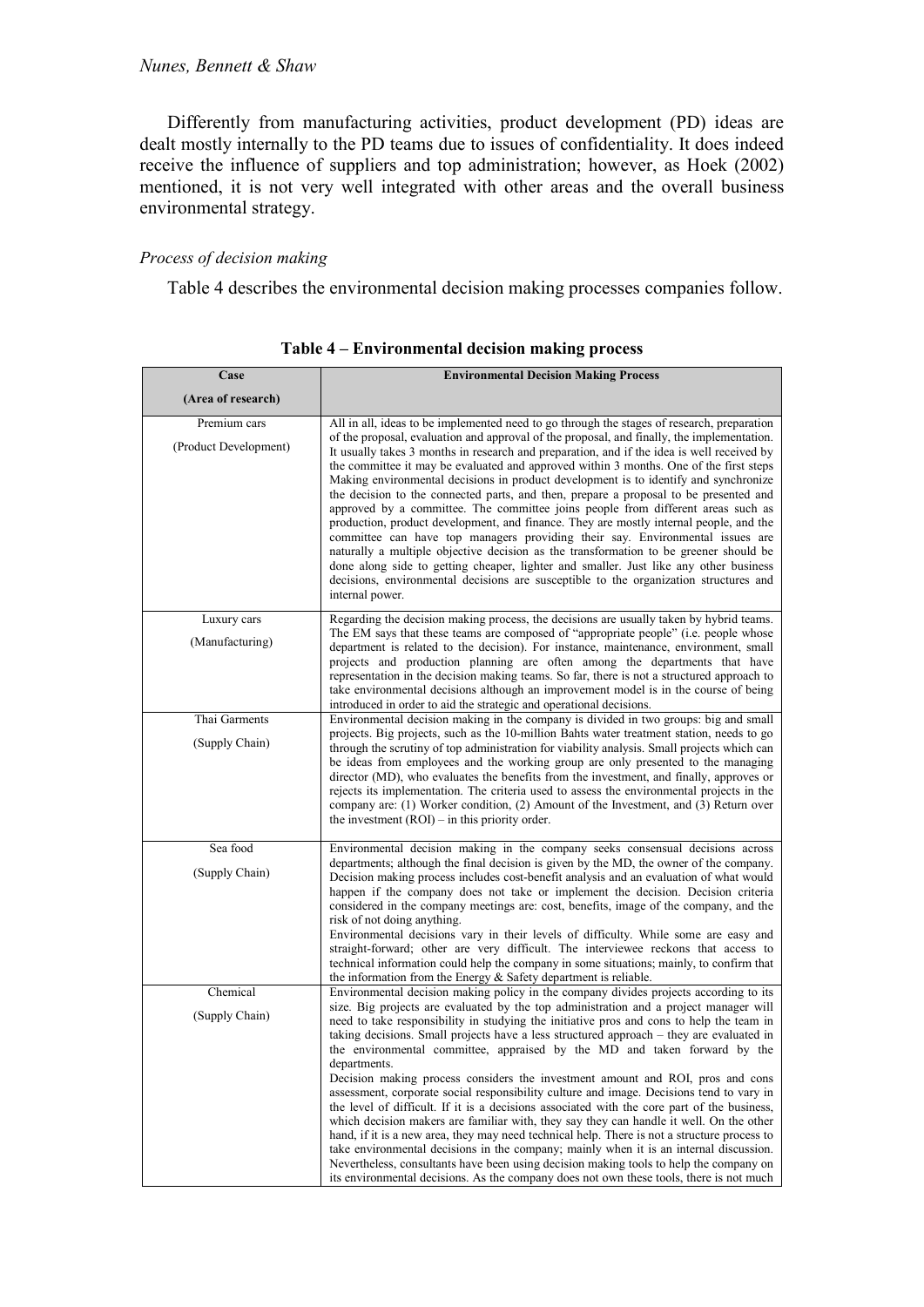Differently from manufacturing activities, product development (PD) ideas are dealt mostly internally to the PD teams due to issues of confidentiality. It does indeed receive the influence of suppliers and top administration; however, as Hoek (2002) mentioned, it is not very well integrated with other areas and the overall business environmental strategy.

### *Process of decision making*

Table 4 describes the environmental decision making processes companies follow.

| Case                                  | <b>Environmental Decision Making Process</b>                                                                                                                                                                                                                                                                                                                                                                                                                                                                                                                                                                                                                                                                                                                                                                                                                                                                                                                                                                                                                                                                                                                                                                               |
|---------------------------------------|----------------------------------------------------------------------------------------------------------------------------------------------------------------------------------------------------------------------------------------------------------------------------------------------------------------------------------------------------------------------------------------------------------------------------------------------------------------------------------------------------------------------------------------------------------------------------------------------------------------------------------------------------------------------------------------------------------------------------------------------------------------------------------------------------------------------------------------------------------------------------------------------------------------------------------------------------------------------------------------------------------------------------------------------------------------------------------------------------------------------------------------------------------------------------------------------------------------------------|
| (Area of research)                    |                                                                                                                                                                                                                                                                                                                                                                                                                                                                                                                                                                                                                                                                                                                                                                                                                                                                                                                                                                                                                                                                                                                                                                                                                            |
| Premium cars<br>(Product Development) | All in all, ideas to be implemented need to go through the stages of research, preparation<br>of the proposal, evaluation and approval of the proposal, and finally, the implementation.<br>It usually takes 3 months in research and preparation, and if the idea is well received by<br>the committee it may be evaluated and approved within 3 months. One of the first steps<br>Making environmental decisions in product development is to identify and synchronize<br>the decision to the connected parts, and then, prepare a proposal to be presented and<br>approved by a committee. The committee joins people from different areas such as<br>production, product development, and finance. They are mostly internal people, and the<br>committee can have top managers providing their say. Environmental issues are<br>naturally a multiple objective decision as the transformation to be greener should be<br>done along side to getting cheaper, lighter and smaller. Just like any other business<br>decisions, environmental decisions are susceptible to the organization structures and<br>internal power.                                                                                             |
| Luxury cars<br>(Manufacturing)        | Regarding the decision making process, the decisions are usually taken by hybrid teams.<br>The EM says that these teams are composed of "appropriate people" (i.e. people whose<br>department is related to the decision). For instance, maintenance, environment, small<br>projects and production planning are often among the departments that have<br>representation in the decision making teams. So far, there is not a structured approach to<br>take environmental decisions although an improvement model is in the course of being<br>introduced in order to aid the strategic and operational decisions.                                                                                                                                                                                                                                                                                                                                                                                                                                                                                                                                                                                                        |
| Thai Garments<br>(Supply Chain)       | Environmental decision making in the company is divided in two groups: big and small<br>projects. Big projects, such as the 10-million Bahts water treatment station, needs to go<br>through the scrutiny of top administration for viability analysis. Small projects which can<br>be ideas from employees and the working group are only presented to the managing<br>director (MD), who evaluates the benefits from the investment, and finally, approves or<br>rejects its implementation. The criteria used to assess the environmental projects in the<br>company are: (1) Worker condition, (2) Amount of the Investment, and (3) Return over<br>the investment $(ROI)$ – in this priority order.                                                                                                                                                                                                                                                                                                                                                                                                                                                                                                                   |
| Sea food<br>(Supply Chain)            | Environmental decision making in the company seeks consensual decisions across<br>departments; although the final decision is given by the MD, the owner of the company.<br>Decision making process includes cost-benefit analysis and an evaluation of what would<br>happen if the company does not take or implement the decision. Decision criteria<br>considered in the company meetings are: cost, benefits, image of the company, and the<br>risk of not doing anything.<br>Environmental decisions vary in their levels of difficulty. While some are easy and<br>straight-forward; other are very difficult. The interviewee reckons that access to<br>technical information could help the company in some situations; mainly, to confirm that<br>the information from the Energy $&$ Safety department is reliable.                                                                                                                                                                                                                                                                                                                                                                                              |
| Chemical<br>(Supply Chain)            | Environmental decision making policy in the company divides projects according to its<br>size. Big projects are evaluated by the top administration and a project manager will<br>need to take responsibility in studying the initiative pros and cons to help the team in<br>taking decisions. Small projects have a less structured approach – they are evaluated in<br>the environmental committee, appraised by the MD and taken forward by the<br>departments.<br>Decision making process considers the investment amount and ROI, pros and cons<br>assessment, corporate social responsibility culture and image. Decisions tend to vary in<br>the level of difficult. If it is a decisions associated with the core part of the business,<br>which decision makers are familiar with, they say they can handle it well. On the other<br>hand, if it is a new area, they may need technical help. There is not a structure process to<br>take environmental decisions in the company; mainly when it is an internal discussion.<br>Nevertheless, consultants have been using decision making tools to help the company on<br>its environmental decisions. As the company does not own these tools, there is not much |

**Table 4 – Environmental decision making process**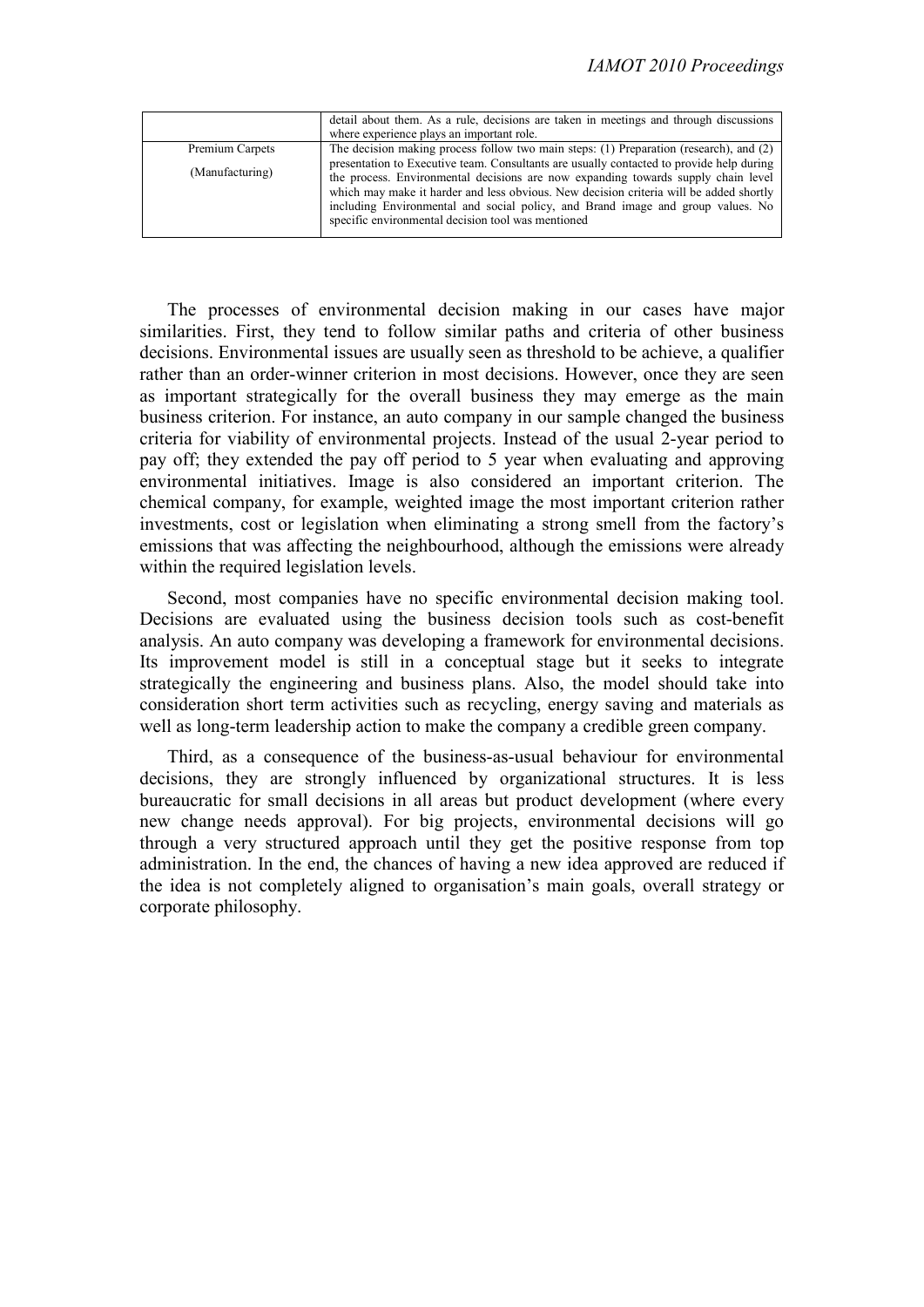|                 | detail about them. As a rule, decisions are taken in meetings and through discussions<br>where experience plays an important role.                                                                                                                                                                                                                                                                               |
|-----------------|------------------------------------------------------------------------------------------------------------------------------------------------------------------------------------------------------------------------------------------------------------------------------------------------------------------------------------------------------------------------------------------------------------------|
| Premium Carpets | The decision making process follow two main steps: (1) Preparation (research), and (2)                                                                                                                                                                                                                                                                                                                           |
| (Manufacturing) | presentation to Executive team. Consultants are usually contacted to provide help during<br>the process. Environmental decisions are now expanding towards supply chain level<br>which may make it harder and less obvious. New decision criteria will be added shortly<br>including Environmental and social policy, and Brand image and group values. No<br>specific environmental decision tool was mentioned |

The processes of environmental decision making in our cases have major similarities. First, they tend to follow similar paths and criteria of other business decisions. Environmental issues are usually seen as threshold to be achieve, a qualifier rather than an order-winner criterion in most decisions. However, once they are seen as important strategically for the overall business they may emerge as the main business criterion. For instance, an auto company in our sample changed the business criteria for viability of environmental projects. Instead of the usual 2-year period to pay off; they extended the pay off period to 5 year when evaluating and approving environmental initiatives. Image is also considered an important criterion. The chemical company, for example, weighted image the most important criterion rather investments, cost or legislation when eliminating a strong smell from the factory's emissions that was affecting the neighbourhood, although the emissions were already within the required legislation levels.

Second, most companies have no specific environmental decision making tool. Decisions are evaluated using the business decision tools such as cost-benefit analysis. An auto company was developing a framework for environmental decisions. Its improvement model is still in a conceptual stage but it seeks to integrate strategically the engineering and business plans. Also, the model should take into consideration short term activities such as recycling, energy saving and materials as well as long-term leadership action to make the company a credible green company.

Third, as a consequence of the business-as-usual behaviour for environmental decisions, they are strongly influenced by organizational structures. It is less bureaucratic for small decisions in all areas but product development (where every new change needs approval). For big projects, environmental decisions will go through a very structured approach until they get the positive response from top administration. In the end, the chances of having a new idea approved are reduced if the idea is not completely aligned to organisation's main goals, overall strategy or corporate philosophy.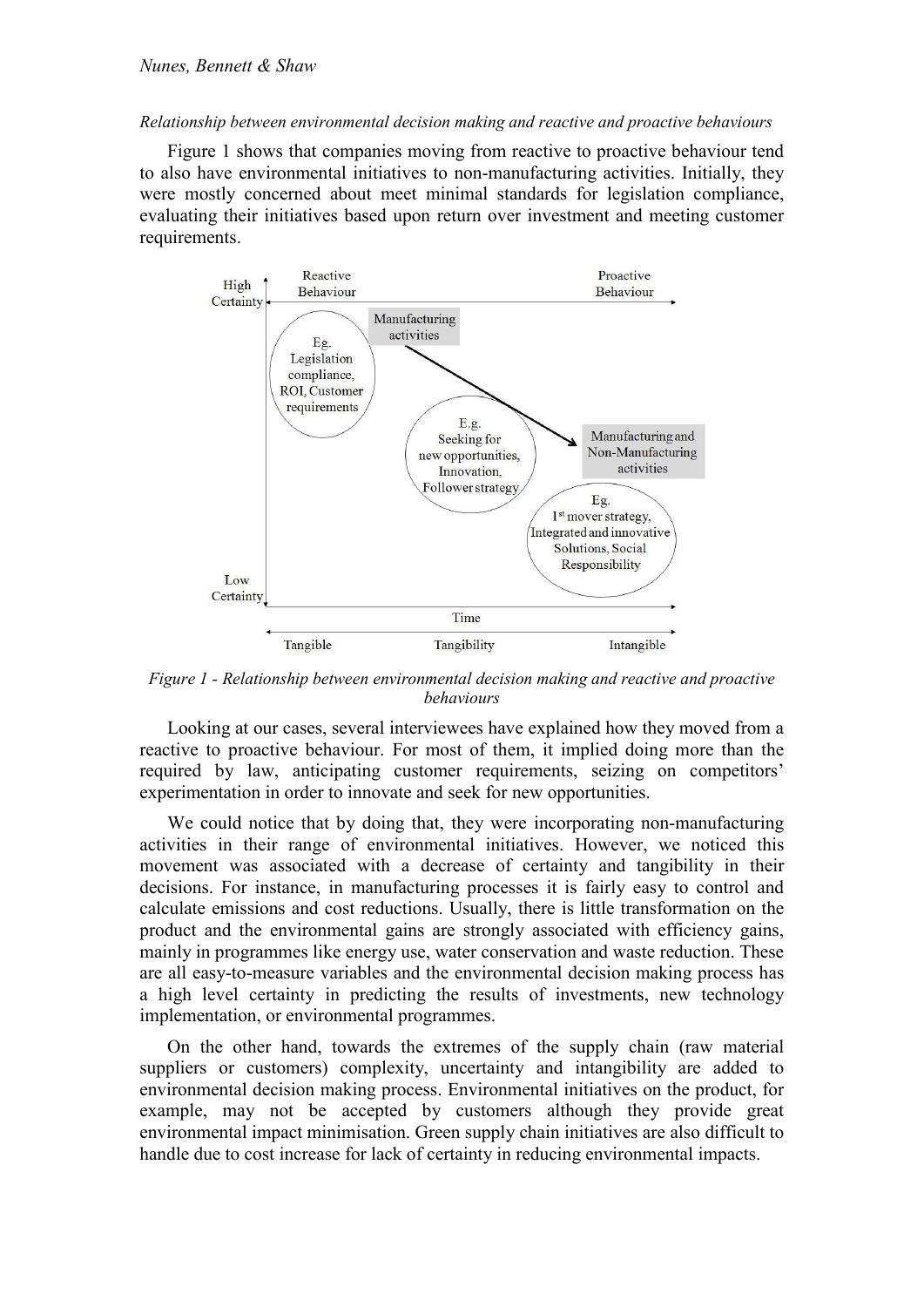### *Relationship between environmental decision making and reactive and proactive behaviours*

Figure 1 shows that companies moving from reactive to proactive behaviour tend to also have environmental initiatives to non-manufacturing activities. Initially, they were mostly concerned about meet minimal standards for legislation compliance, evaluating their initiatives based upon return over investment and meeting customer requirements.



*Figure 1 - Relationship between environmental decision making and reactive and proactive behaviours* 

Looking at our cases, several interviewees have explained how they moved from a reactive to proactive behaviour. For most of them, it implied doing more than the required by law, anticipating customer requirements, seizing on competitors' experimentation in order to innovate and seek for new opportunities.

We could notice that by doing that, they were incorporating non-manufacturing activities in their range of environmental initiatives. However, we noticed this movement was associated with a decrease of certainty and tangibility in their decisions. For instance, in manufacturing processes it is fairly easy to control and calculate emissions and cost reductions. Usually, there is little transformation on the product and the environmental gains are strongly associated with efficiency gains, mainly in programmes like energy use, water conservation and waste reduction. These are all easy-to-measure variables and the environmental decision making process has a high level certainty in predicting the results of investments, new technology implementation, or environmental programmes.

On the other hand, towards the extremes of the supply chain (raw material suppliers or customers) complexity, uncertainty and intangibility are added to environmental decision making process. Environmental initiatives on the product, for example, may not be accepted by customers although they provide great environmental impact minimisation. Green supply chain initiatives are also difficult to handle due to cost increase for lack of certainty in reducing environmental impacts.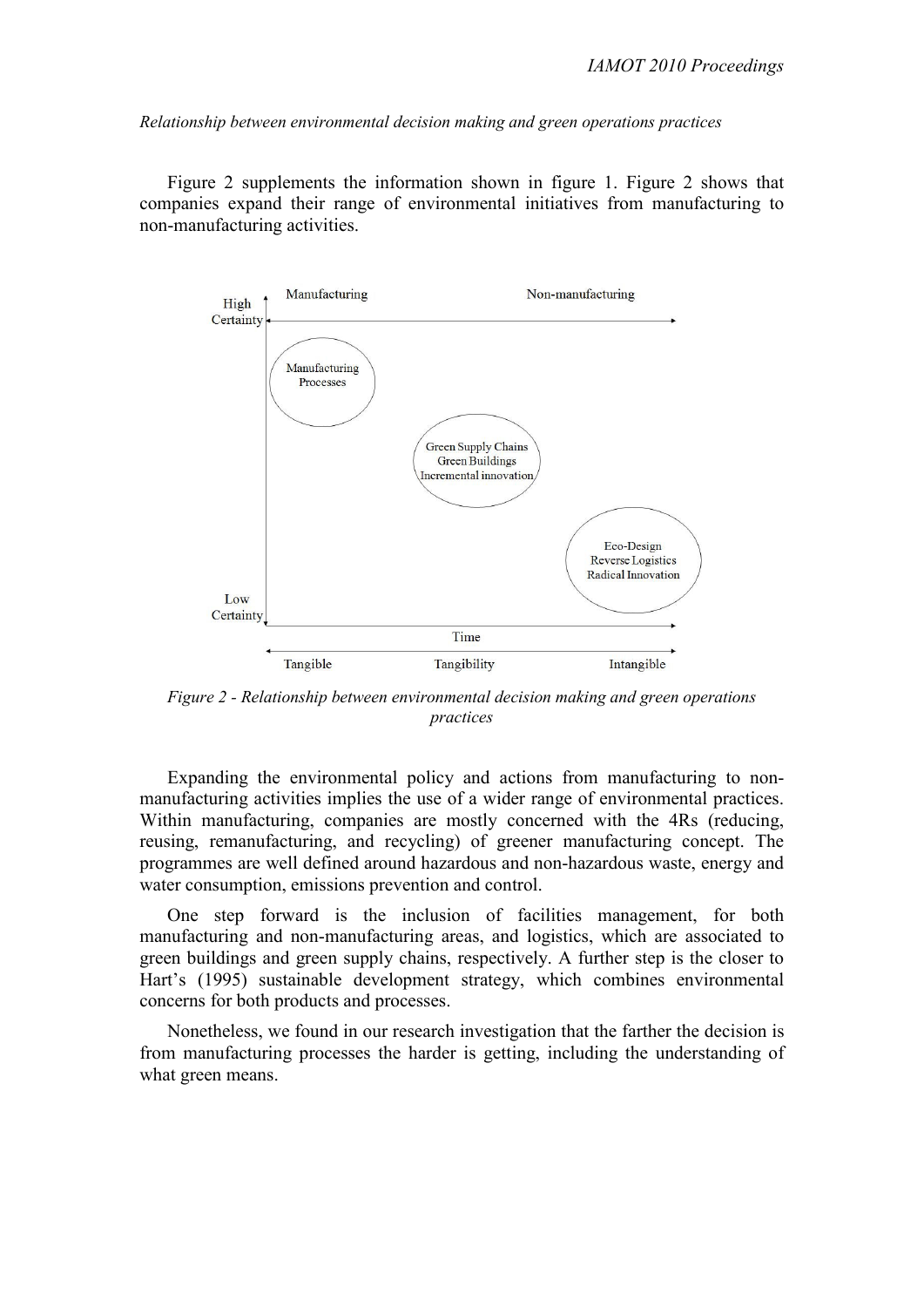*Relationship between environmental decision making and green operations practices* 

Figure 2 supplements the information shown in figure 1. Figure 2 shows that companies expand their range of environmental initiatives from manufacturing to non-manufacturing activities.



*Figure 2 - Relationship between environmental decision making and green operations practices* 

Expanding the environmental policy and actions from manufacturing to nonmanufacturing activities implies the use of a wider range of environmental practices. Within manufacturing, companies are mostly concerned with the 4Rs (reducing, reusing, remanufacturing, and recycling) of greener manufacturing concept. The programmes are well defined around hazardous and non-hazardous waste, energy and water consumption, emissions prevention and control.

One step forward is the inclusion of facilities management, for both manufacturing and non-manufacturing areas, and logistics, which are associated to green buildings and green supply chains, respectively. A further step is the closer to Hart's (1995) sustainable development strategy, which combines environmental concerns for both products and processes.

Nonetheless, we found in our research investigation that the farther the decision is from manufacturing processes the harder is getting, including the understanding of what green means.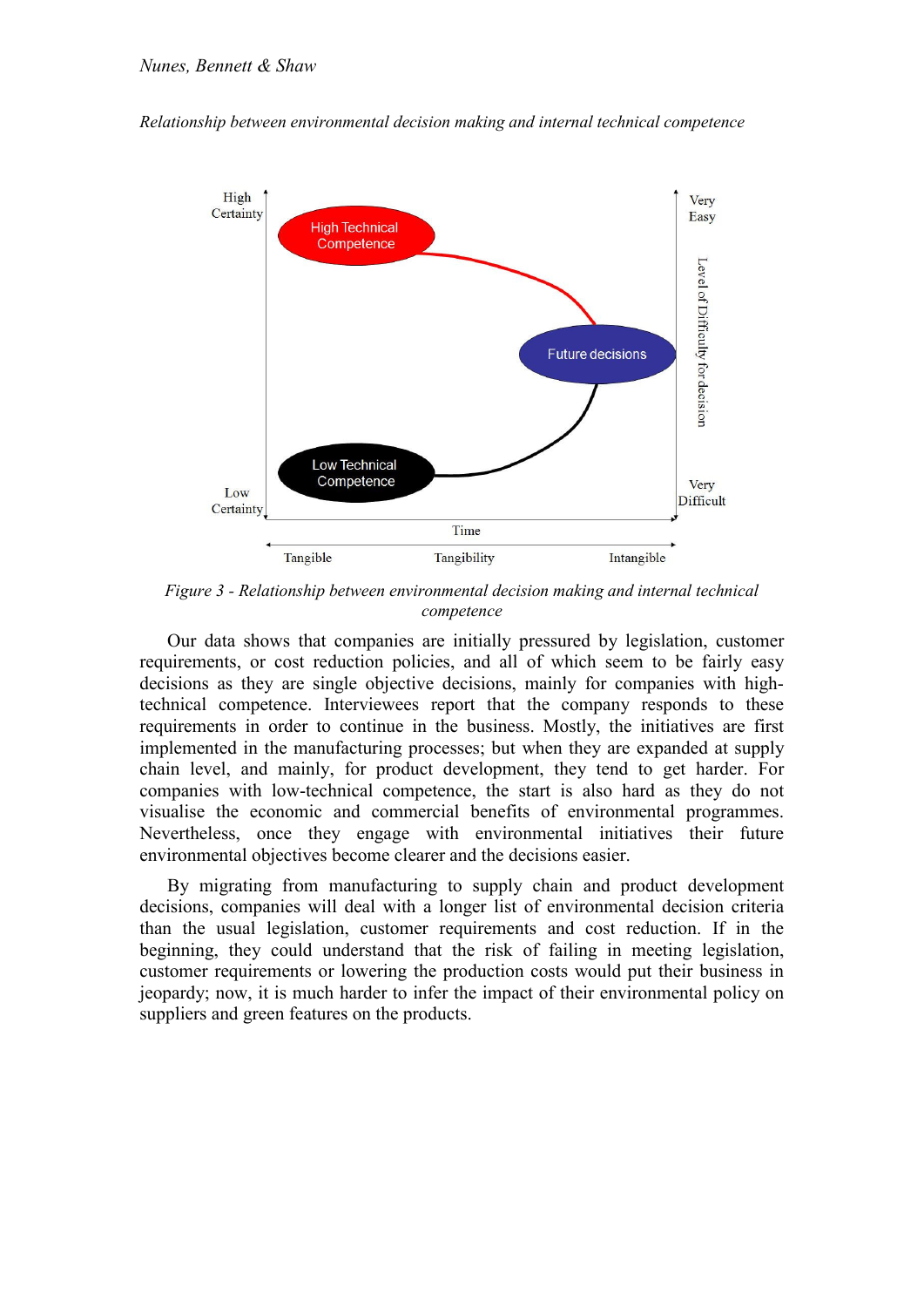*Relationship between environmental decision making and internal technical competence* 



*Figure 3 - Relationship between environmental decision making and internal technical competence* 

Our data shows that companies are initially pressured by legislation, customer requirements, or cost reduction policies, and all of which seem to be fairly easy decisions as they are single objective decisions, mainly for companies with hightechnical competence. Interviewees report that the company responds to these requirements in order to continue in the business. Mostly, the initiatives are first implemented in the manufacturing processes; but when they are expanded at supply chain level, and mainly, for product development, they tend to get harder. For companies with low-technical competence, the start is also hard as they do not visualise the economic and commercial benefits of environmental programmes. Nevertheless, once they engage with environmental initiatives their future environmental objectives become clearer and the decisions easier.

By migrating from manufacturing to supply chain and product development decisions, companies will deal with a longer list of environmental decision criteria than the usual legislation, customer requirements and cost reduction. If in the beginning, they could understand that the risk of failing in meeting legislation, customer requirements or lowering the production costs would put their business in jeopardy; now, it is much harder to infer the impact of their environmental policy on suppliers and green features on the products.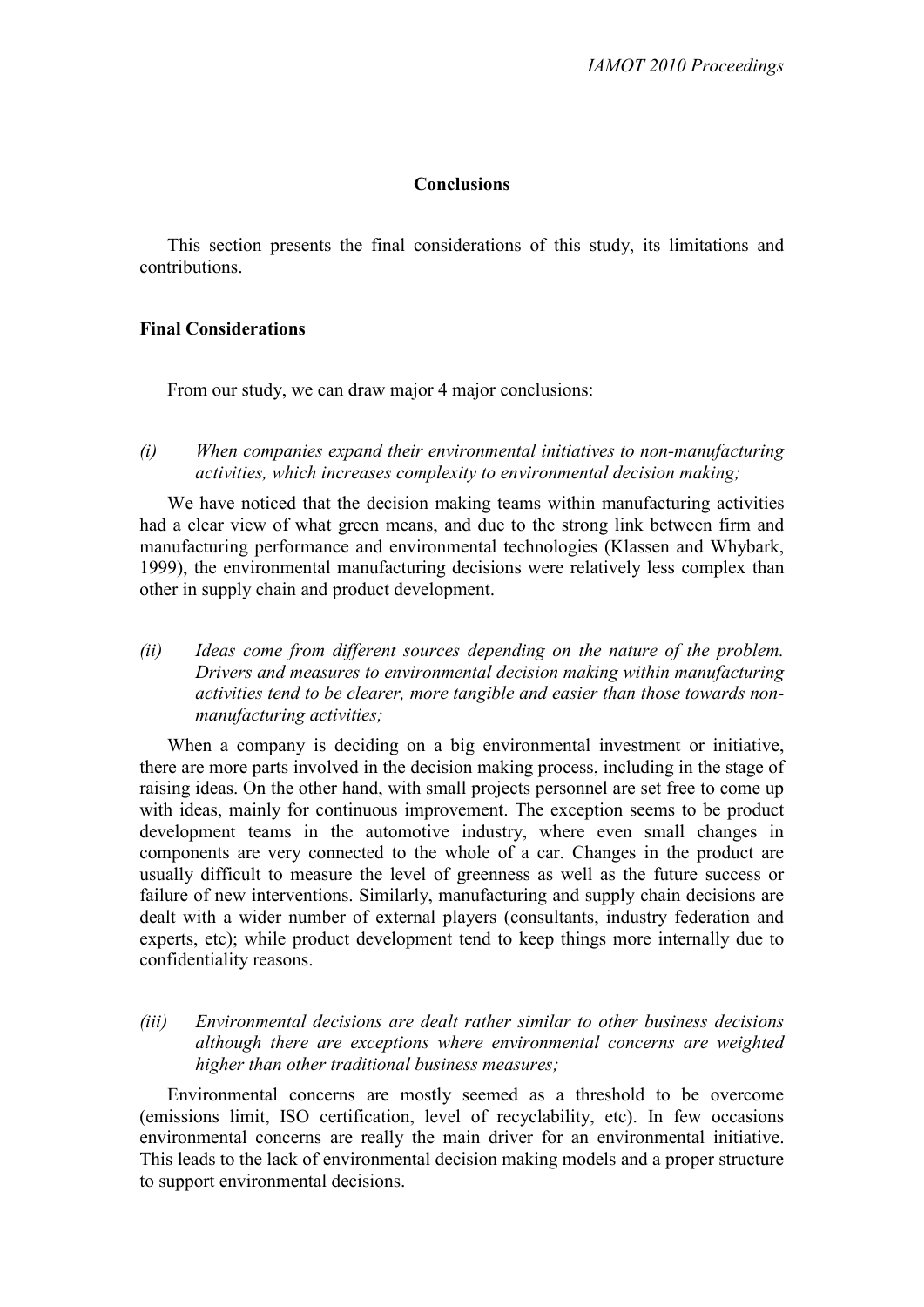# **Conclusions**

This section presents the final considerations of this study, its limitations and contributions.

# **Final Considerations**

From our study, we can draw major 4 major conclusions:

*(i) When companies expand their environmental initiatives to non-manufacturing activities, which increases complexity to environmental decision making;* 

We have noticed that the decision making teams within manufacturing activities had a clear view of what green means, and due to the strong link between firm and manufacturing performance and environmental technologies (Klassen and Whybark, 1999), the environmental manufacturing decisions were relatively less complex than other in supply chain and product development.

*(ii) Ideas come from different sources depending on the nature of the problem. Drivers and measures to environmental decision making within manufacturing activities tend to be clearer, more tangible and easier than those towards nonmanufacturing activities;* 

When a company is deciding on a big environmental investment or initiative, there are more parts involved in the decision making process, including in the stage of raising ideas. On the other hand, with small projects personnel are set free to come up with ideas, mainly for continuous improvement. The exception seems to be product development teams in the automotive industry, where even small changes in components are very connected to the whole of a car. Changes in the product are usually difficult to measure the level of greenness as well as the future success or failure of new interventions. Similarly, manufacturing and supply chain decisions are dealt with a wider number of external players (consultants, industry federation and experts, etc); while product development tend to keep things more internally due to confidentiality reasons.

*(iii) Environmental decisions are dealt rather similar to other business decisions although there are exceptions where environmental concerns are weighted higher than other traditional business measures;* 

Environmental concerns are mostly seemed as a threshold to be overcome (emissions limit, ISO certification, level of recyclability, etc). In few occasions environmental concerns are really the main driver for an environmental initiative. This leads to the lack of environmental decision making models and a proper structure to support environmental decisions.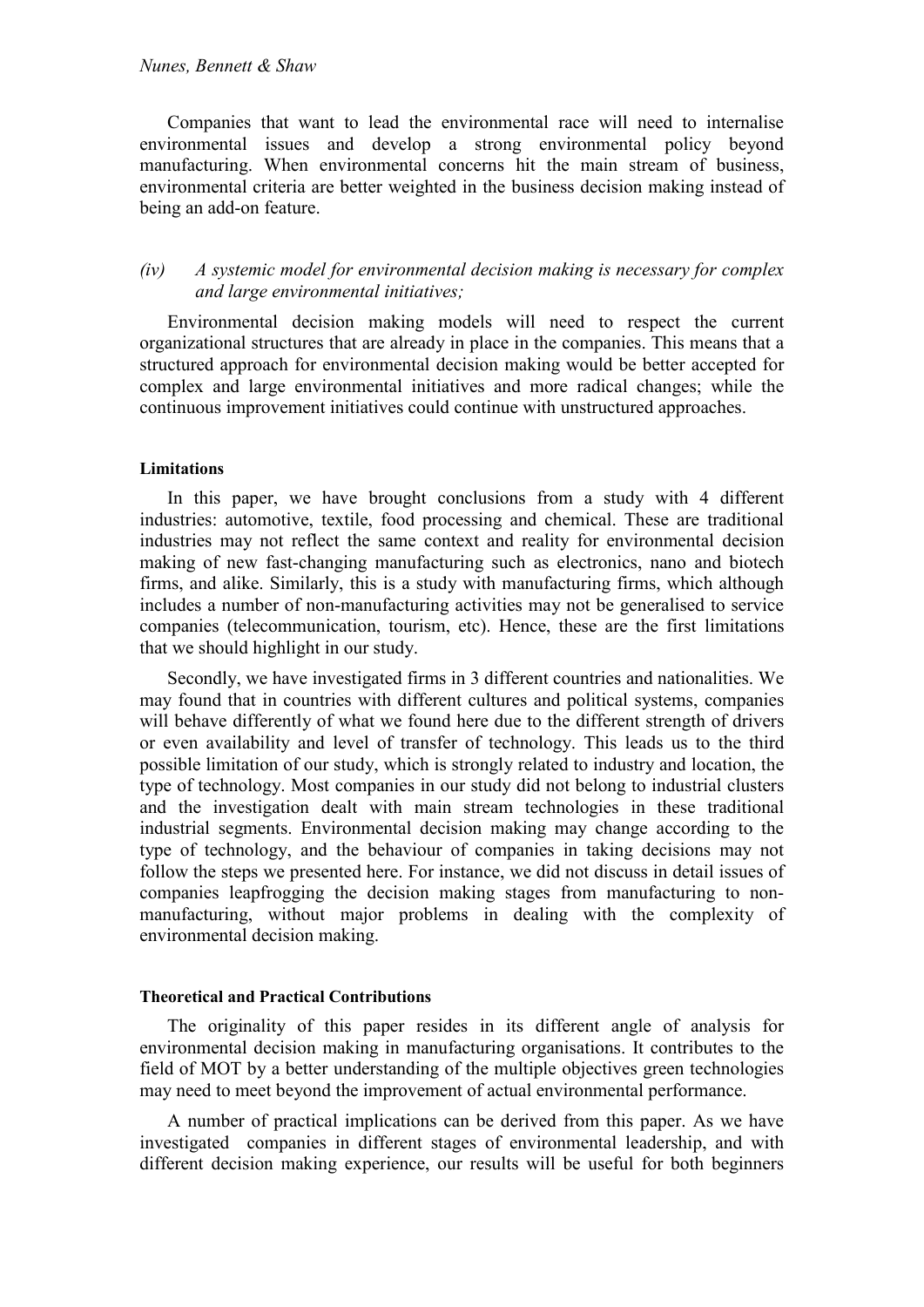### *0unes, Bennett & Shaw*

Companies that want to lead the environmental race will need to internalise environmental issues and develop a strong environmental policy beyond manufacturing. When environmental concerns hit the main stream of business, environmental criteria are better weighted in the business decision making instead of being an add-on feature.

# *(iv) A systemic model for environmental decision making is necessary for complex and large environmental initiatives;*

Environmental decision making models will need to respect the current organizational structures that are already in place in the companies. This means that a structured approach for environmental decision making would be better accepted for complex and large environmental initiatives and more radical changes; while the continuous improvement initiatives could continue with unstructured approaches.

### **Limitations**

In this paper, we have brought conclusions from a study with 4 different industries: automotive, textile, food processing and chemical. These are traditional industries may not reflect the same context and reality for environmental decision making of new fast-changing manufacturing such as electronics, nano and biotech firms, and alike. Similarly, this is a study with manufacturing firms, which although includes a number of non-manufacturing activities may not be generalised to service companies (telecommunication, tourism, etc). Hence, these are the first limitations that we should highlight in our study.

Secondly, we have investigated firms in 3 different countries and nationalities. We may found that in countries with different cultures and political systems, companies will behave differently of what we found here due to the different strength of drivers or even availability and level of transfer of technology. This leads us to the third possible limitation of our study, which is strongly related to industry and location, the type of technology. Most companies in our study did not belong to industrial clusters and the investigation dealt with main stream technologies in these traditional industrial segments. Environmental decision making may change according to the type of technology, and the behaviour of companies in taking decisions may not follow the steps we presented here. For instance, we did not discuss in detail issues of companies leapfrogging the decision making stages from manufacturing to nonmanufacturing, without major problems in dealing with the complexity of environmental decision making.

### **Theoretical and Practical Contributions**

The originality of this paper resides in its different angle of analysis for environmental decision making in manufacturing organisations. It contributes to the field of MOT by a better understanding of the multiple objectives green technologies may need to meet beyond the improvement of actual environmental performance.

A number of practical implications can be derived from this paper. As we have investigated companies in different stages of environmental leadership, and with different decision making experience, our results will be useful for both beginners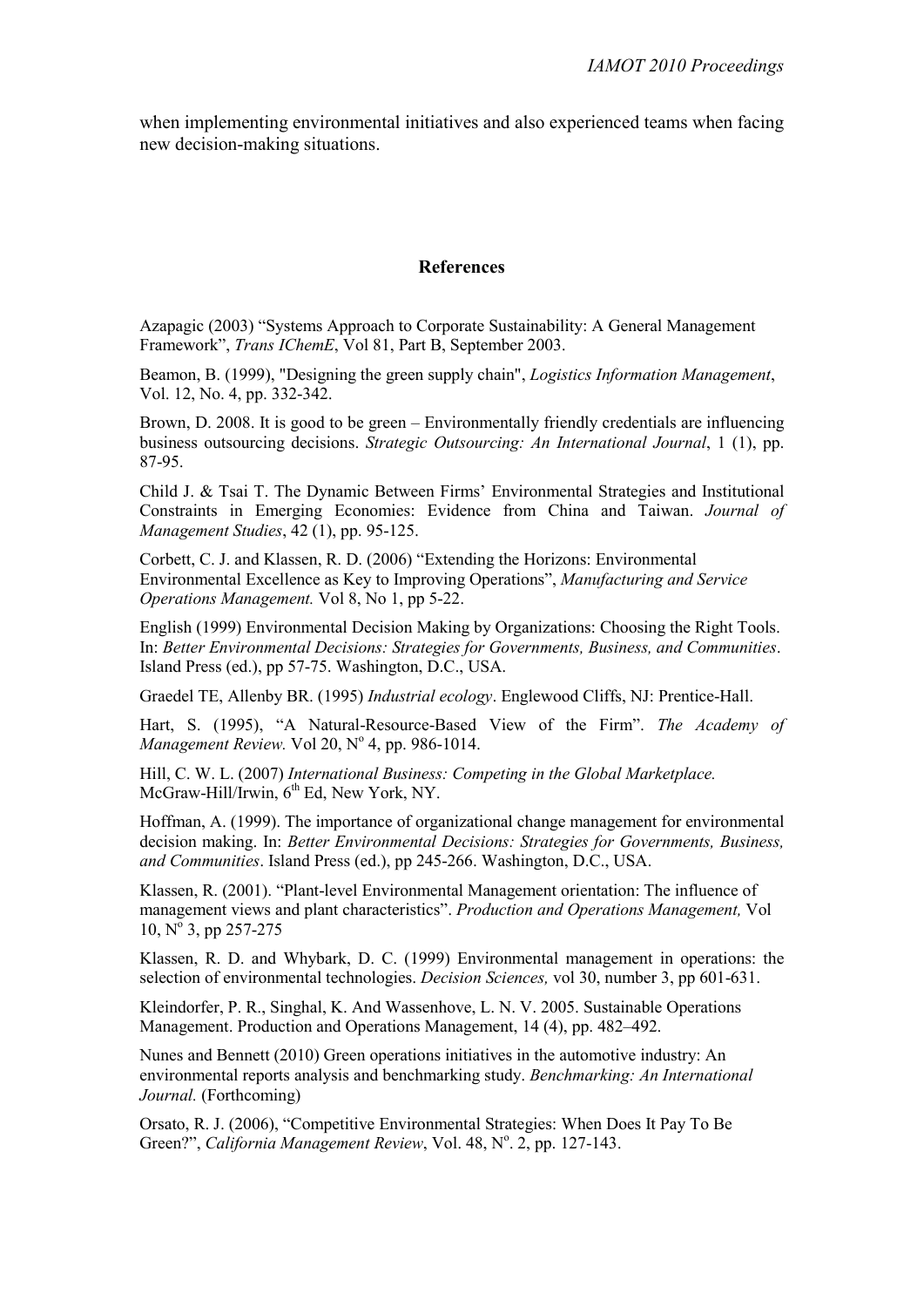when implementing environmental initiatives and also experienced teams when facing new decision-making situations.

# **References**

Azapagic (2003) "Systems Approach to Corporate Sustainability: A General Management Framework", *Trans IChemE*, Vol 81, Part B, September 2003.

Beamon, B. (1999), "Designing the green supply chain", *Logistics Information Management*, Vol. 12, No. 4, pp. 332-342.

Brown, D. 2008. It is good to be green – Environmentally friendly credentials are influencing business outsourcing decisions. *Strategic Outsourcing: An International Journal*, 1 (1), pp. 87-95.

Child J. & Tsai T. The Dynamic Between Firms' Environmental Strategies and Institutional Constraints in Emerging Economies: Evidence from China and Taiwan. *Journal of Management Studies*, 42 (1), pp. 95-125.

Corbett, C. J. and Klassen, R. D. (2006) "Extending the Horizons: Environmental Environmental Excellence as Key to Improving Operations", *Manufacturing and Service Operations Management.* Vol 8, No 1, pp 5-22.

English (1999) Environmental Decision Making by Organizations: Choosing the Right Tools. In: *Better Environmental Decisions: Strategies for Governments, Business, and Communities*. Island Press (ed.), pp 57-75. Washington, D.C., USA.

Graedel TE, Allenby BR. (1995) *Industrial ecology*. Englewood Cliffs, NJ: Prentice-Hall.

Hart, S. (1995), "A Natural-Resource-Based View of the Firm". *The Academy of*  Management Review. Vol 20, Nº 4, pp. 986-1014.

Hill, C. W. L. (2007) *International Business: Competing in the Global Marketplace.* McGraw-Hill/Irwin,  $6<sup>th</sup>$  Ed, New York, NY.

Hoffman, A. (1999). The importance of organizational change management for environmental decision making. In: *Better Environmental Decisions: Strategies for Governments, Business, and Communities*. Island Press (ed.), pp 245-266. Washington, D.C., USA.

Klassen, R. (2001). "Plant-level Environmental Management orientation: The influence of management views and plant characteristics". *Production and Operations Management,* Vol 10,  $N^{\circ}$  3, pp 257-275

Klassen, R. D. and Whybark, D. C. (1999) Environmental management in operations: the selection of environmental technologies. *Decision Sciences,* vol 30, number 3, pp 601-631.

Kleindorfer, P. R., Singhal, K. And Wassenhove, L. N. V. 2005. Sustainable Operations Management. Production and Operations Management, 14 (4), pp. 482–492.

Nunes and Bennett (2010) Green operations initiatives in the automotive industry: An environmental reports analysis and benchmarking study. *Benchmarking: An International Journal.* (Forthcoming)

Orsato, R. J. (2006), "Competitive Environmental Strategies: When Does It Pay To Be Green?", California Management Review, Vol. 48, Nº. 2, pp. 127-143.